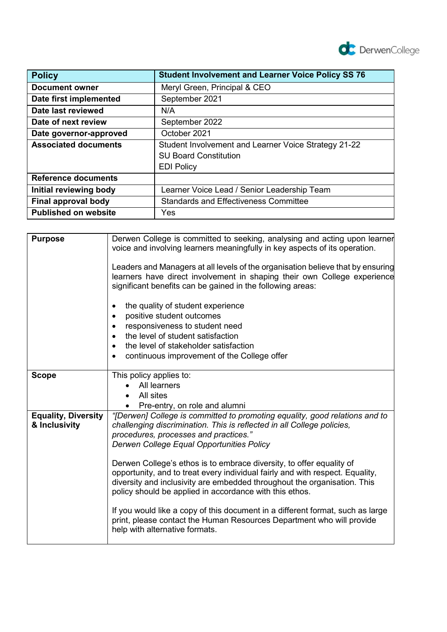

| <b>Policy</b>               | <b>Student Involvement and Learner Voice Policy SS 76</b> |
|-----------------------------|-----------------------------------------------------------|
| Document owner              | Meryl Green, Principal & CEO                              |
| Date first implemented      | September 2021                                            |
| Date last reviewed          | N/A                                                       |
| Date of next review         | September 2022                                            |
| Date governor-approved      | October 2021                                              |
| <b>Associated documents</b> | Student Involvement and Learner Voice Strategy 21-22      |
|                             | <b>SU Board Constitution</b>                              |
|                             | <b>EDI Policy</b>                                         |
| <b>Reference documents</b>  |                                                           |
| Initial reviewing body      | Learner Voice Lead / Senior Leadership Team               |
| Final approval body         | <b>Standards and Effectiveness Committee</b>              |
| <b>Published on website</b> | Yes                                                       |

| <b>Purpose</b>                              | Derwen College is committed to seeking, analysing and acting upon learner<br>voice and involving learners meaningfully in key aspects of its operation.<br>Leaders and Managers at all levels of the organisation believe that by ensuring<br>learners have direct involvement in shaping their own College experience<br>significant benefits can be gained in the following areas:<br>the quality of student experience<br>٠<br>positive student outcomes<br>$\bullet$<br>responsiveness to student need<br>$\bullet$<br>the level of student satisfaction<br>the level of stakeholder satisfaction<br>$\bullet$<br>continuous improvement of the College offer |
|---------------------------------------------|-------------------------------------------------------------------------------------------------------------------------------------------------------------------------------------------------------------------------------------------------------------------------------------------------------------------------------------------------------------------------------------------------------------------------------------------------------------------------------------------------------------------------------------------------------------------------------------------------------------------------------------------------------------------|
|                                             |                                                                                                                                                                                                                                                                                                                                                                                                                                                                                                                                                                                                                                                                   |
| <b>Scope</b>                                | This policy applies to:                                                                                                                                                                                                                                                                                                                                                                                                                                                                                                                                                                                                                                           |
|                                             | All learners                                                                                                                                                                                                                                                                                                                                                                                                                                                                                                                                                                                                                                                      |
|                                             | All sites                                                                                                                                                                                                                                                                                                                                                                                                                                                                                                                                                                                                                                                         |
|                                             | Pre-entry, on role and alumni                                                                                                                                                                                                                                                                                                                                                                                                                                                                                                                                                                                                                                     |
| <b>Equality, Diversity</b><br>& Inclusivity | "[Derwen] College is committed to promoting equality, good relations and to<br>challenging discrimination. This is reflected in all College policies,<br>procedures, processes and practices."<br>Derwen College Equal Opportunities Policy                                                                                                                                                                                                                                                                                                                                                                                                                       |
|                                             | Derwen College's ethos is to embrace diversity, to offer equality of<br>opportunity, and to treat every individual fairly and with respect. Equality,<br>diversity and inclusivity are embedded throughout the organisation. This<br>policy should be applied in accordance with this ethos.                                                                                                                                                                                                                                                                                                                                                                      |
|                                             | If you would like a copy of this document in a different format, such as large<br>print, please contact the Human Resources Department who will provide<br>help with alternative formats.                                                                                                                                                                                                                                                                                                                                                                                                                                                                         |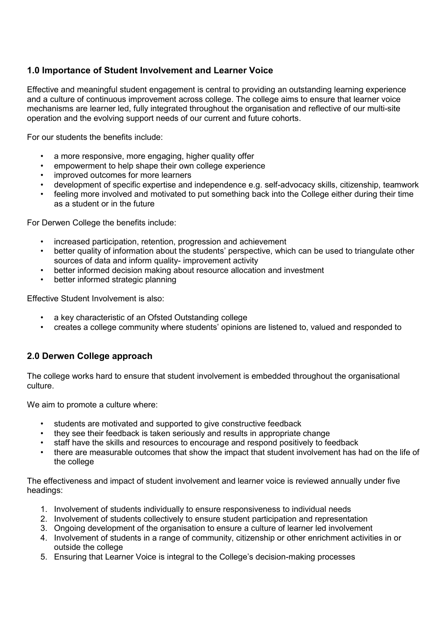# **1.0 Importance of Student Involvement and Learner Voice**

Effective and meaningful student engagement is central to providing an outstanding learning experience and a culture of continuous improvement across college. The college aims to ensure that learner voice mechanisms are learner led, fully integrated throughout the organisation and reflective of our multi-site operation and the evolving support needs of our current and future cohorts.

For our students the benefits include:

- a more responsive, more engaging, higher quality offer
- empowerment to help shape their own college experience
- improved outcomes for more learners
- development of specific expertise and independence e.g. self-advocacy skills, citizenship, teamwork
- feeling more involved and motivated to put something back into the College either during their time as a student or in the future

For Derwen College the benefits include:

- increased participation, retention, progression and achievement
- better quality of information about the students' perspective, which can be used to triangulate other sources of data and inform quality- improvement activity
- better informed decision making about resource allocation and investment
- better informed strategic planning

Effective Student Involvement is also:

- a key characteristic of an Ofsted Outstanding college
- creates a college community where students' opinions are listened to, valued and responded to

## **2.0 Derwen College approach**

The college works hard to ensure that student involvement is embedded throughout the organisational culture.

We aim to promote a culture where:

- students are motivated and supported to give constructive feedback
- they see their feedback is taken seriously and results in appropriate change
- staff have the skills and resources to encourage and respond positively to feedback
- there are measurable outcomes that show the impact that student involvement has had on the life of the college

The effectiveness and impact of student involvement and learner voice is reviewed annually under five headings:

- 1. Involvement of students individually to ensure responsiveness to individual needs
- 2. Involvement of students collectively to ensure student participation and representation
- 3. Ongoing development of the organisation to ensure a culture of learner led involvement
- 4. Involvement of students in a range of community, citizenship or other enrichment activities in or outside the college
- 5. Ensuring that Learner Voice is integral to the College's decision-making processes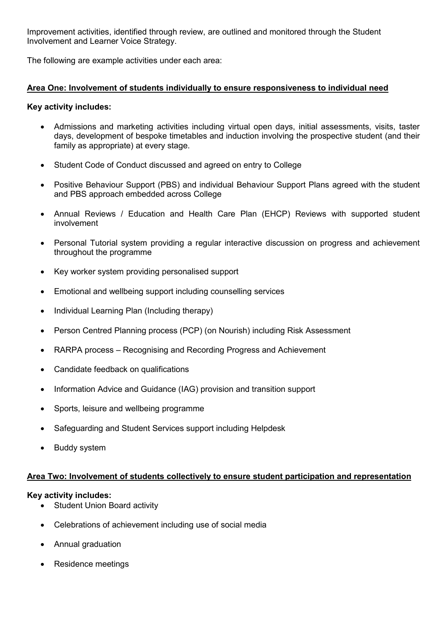Improvement activities, identified through review, are outlined and monitored through the Student Involvement and Learner Voice Strategy.

The following are example activities under each area:

### **Area One: Involvement of students individually to ensure responsiveness to individual need**

#### **Key activity includes:**

- Admissions and marketing activities including virtual open days, initial assessments, visits, taster days, development of bespoke timetables and induction involving the prospective student (and their family as appropriate) at every stage.
- Student Code of Conduct discussed and agreed on entry to College
- Positive Behaviour Support (PBS) and individual Behaviour Support Plans agreed with the student and PBS approach embedded across College
- Annual Reviews / Education and Health Care Plan (EHCP) Reviews with supported student involvement
- Personal Tutorial system providing a regular interactive discussion on progress and achievement throughout the programme
- Key worker system providing personalised support
- Emotional and wellbeing support including counselling services
- Individual Learning Plan (Including therapy)
- Person Centred Planning process (PCP) (on Nourish) including Risk Assessment
- RARPA process Recognising and Recording Progress and Achievement
- Candidate feedback on qualifications
- Information Advice and Guidance (IAG) provision and transition support
- Sports, leisure and wellbeing programme
- Safeguarding and Student Services support including Helpdesk
- Buddy system

#### **Area Two: Involvement of students collectively to ensure student participation and representation**

#### **Key activity includes:**

- Student Union Board activity
- Celebrations of achievement including use of social media
- Annual graduation
- Residence meetings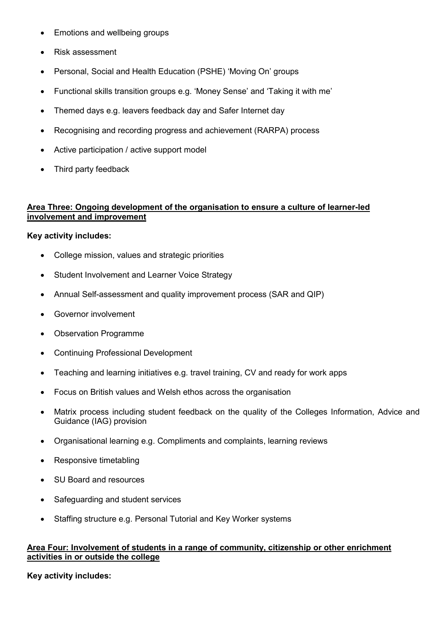- Emotions and wellbeing groups
- Risk assessment
- Personal, Social and Health Education (PSHE) 'Moving On' groups
- Functional skills transition groups e.g. 'Money Sense' and 'Taking it with me'
- Themed days e.g. leavers feedback day and Safer Internet day
- Recognising and recording progress and achievement (RARPA) process
- Active participation / active support model
- Third party feedback

## **Area Three: Ongoing development of the organisation to ensure a culture of learner-led involvement and improvement**

#### **Key activity includes:**

- College mission, values and strategic priorities
- Student Involvement and Learner Voice Strategy
- Annual Self-assessment and quality improvement process (SAR and QIP)
- Governor involvement
- Observation Programme
- Continuing Professional Development
- Teaching and learning initiatives e.g. travel training, CV and ready for work apps
- Focus on British values and Welsh ethos across the organisation
- Matrix process including student feedback on the quality of the Colleges Information, Advice and Guidance (IAG) provision
- Organisational learning e.g. Compliments and complaints, learning reviews
- Responsive timetabling
- SU Board and resources
- Safeguarding and student services
- Staffing structure e.g. Personal Tutorial and Key Worker systems

#### **Area Four: Involvement of students in a range of community, citizenship or other enrichment activities in or outside the college**

**Key activity includes:**